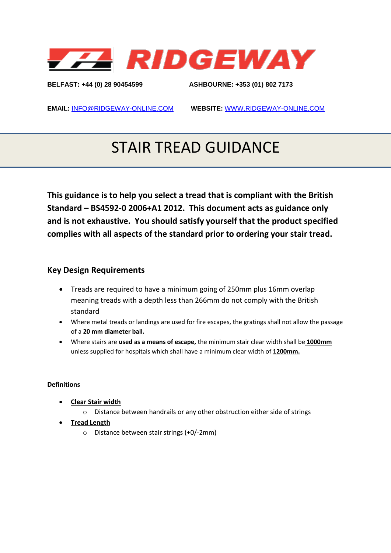

**BELFAST: +44 (0) 28 90454599 ASHBOURNE: +353 (01) 802 7173** 

**EMAIL:** [INFO@RIDGEWAY-ONLINE.COM](mailto:INFO@RIDGEWAY-ONLINE.COM) **WEBSITE:** [WWW.RIDGEWAY-ONLINE.COM](http://www.ridgeway-online.com/)

# STAIR TREAD GUIDANCE

**This guidance is to help you select a tread that is compliant with the British Standard – BS4592-0 2006+A1 2012. This document acts as guidance only and is not exhaustive. You should satisfy yourself that the product specified complies with all aspects of the standard prior to ordering your stair tread.**

### **Key Design Requirements**

- Treads are required to have a minimum going of 250mm plus 16mm overlap meaning treads with a depth less than 266mm do not comply with the British standard
- Where metal treads or landings are used for fire escapes, the gratings shall not allow the passage of a **20 mm diameter ball.**
- Where stairs are **used as a means of escape,** the minimum stair clear width shall be **1000mm** unless supplied for hospitals which shall have a minimum clear width of **1200mm.**

#### **Definitions**

- **Clear Stair width**
	- o Distance between handrails or any other obstruction either side of strings
- **Tread Length**
	- o Distance between stair strings (+0/-2mm)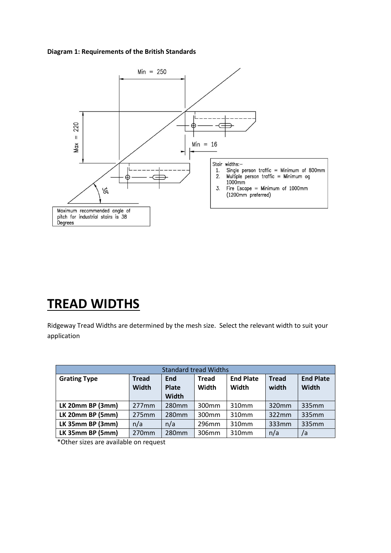#### **Diagram 1: Requirements of the British Standards**



### **TREAD WIDTHS**

Ridgeway Tread Widths are determined by the mesh size. Select the relevant width to suit your application

| <b>Standard tread Widths</b> |                              |                              |                       |                           |                       |                                  |  |  |  |
|------------------------------|------------------------------|------------------------------|-----------------------|---------------------------|-----------------------|----------------------------------|--|--|--|
| <b>Grating Type</b>          | <b>Tread</b><br><b>Width</b> | End<br><b>Plate</b><br>Width | <b>Tread</b><br>Width | <b>End Plate</b><br>Width | <b>Tread</b><br>width | <b>End Plate</b><br><b>Width</b> |  |  |  |
| LK 20mm BP (3mm)             | 277mm                        | 280mm                        | 300 <sub>mm</sub>     | 310mm                     | 320mm                 | 335mm                            |  |  |  |
| LK 20mm BP (5mm)             | 275mm                        | 280 <sub>mm</sub>            | 300 <sub>mm</sub>     | 310mm                     | 322mm                 | 335mm                            |  |  |  |
| LK 35mm BP (3mm)             | n/a                          | n/a                          | 296mm                 | 310mm                     | 333mm                 | 335mm                            |  |  |  |
| LK 35mm BP (5mm)             | 270mm                        | 280mm                        | 306mm                 | 310mm                     | n/a                   | /a                               |  |  |  |

\*Other sizes are available on request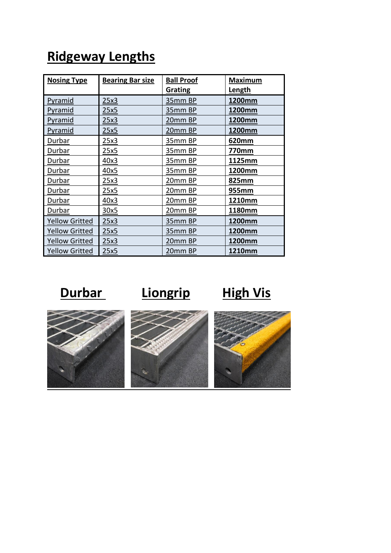| <b>Nosing Type</b>    | <b>Bearing Bar size</b> | <b>Ball Proof</b> | <b>Maximum</b> |  |
|-----------------------|-------------------------|-------------------|----------------|--|
|                       |                         | <b>Grating</b>    | <b>Length</b>  |  |
| Pyramid               | 25x3                    | 35mm BP           | 1200mm         |  |
| <b>Pyramid</b>        | 25x5                    | 35mm BP           | 1200mm         |  |
| Pyramid               | 25x3                    | 20mm BP           | 1200mm         |  |
| Pyramid               | 25x5                    | <u>20mm BP</u>    | 1200mm         |  |
| Durbar                | 25x3                    | 35mm BP           | 620mm          |  |
| Durbar                | 25x5                    | 35mm BP           | 770mm          |  |
| Durbar                | 40x3                    | 35mm BP           | 1125mm         |  |
| Durbar                | 40x5                    | 35mm BP           | 1200mm         |  |
| Durbar                | 25x3                    | 20mm BP           | 825mm          |  |
| Durbar                | 25x5                    | 20mm BP           | 955mm          |  |
| Durbar                | 40x3                    | 20mm BP           | 1210mm         |  |
| Durbar                | 30x5                    | 20mm BP           | 1180mm         |  |
| <b>Yellow Gritted</b> | 25x3                    | 35mm BP           | 1200mm         |  |
| <b>Yellow Gritted</b> | 25x5                    | 35mm BP           | 1200mm         |  |
| <b>Yellow Gritted</b> | 25x3                    | 20mm BP           | 1200mm         |  |
| <b>Yellow Gritted</b> | 25x5                    | 20mm BP           | 1210mm         |  |

## **Ridgeway Lengths**

**Durbar** Liongrip High Vis